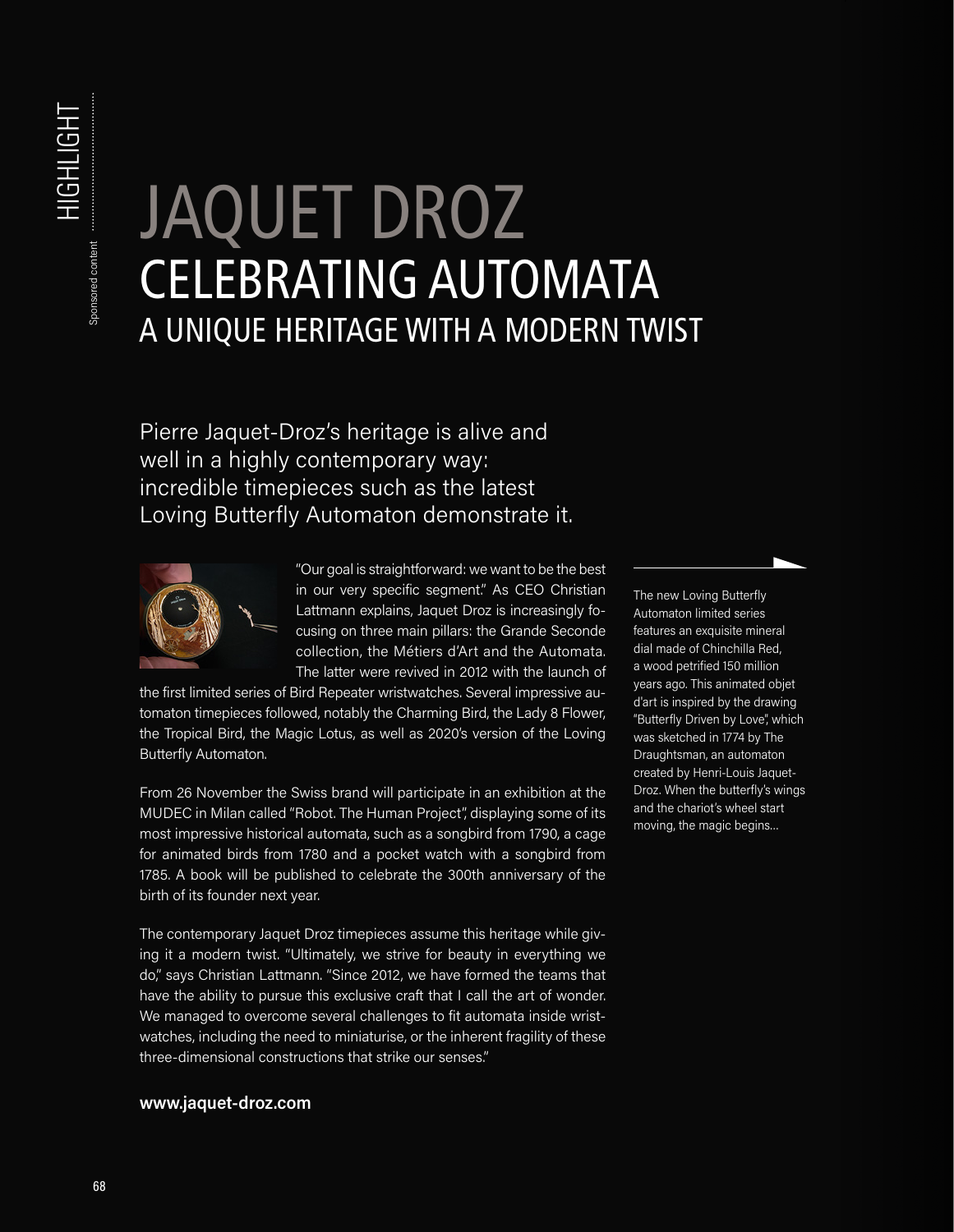## **HIGHLIGHT** HIGHLIGHT Sponsored content Sponsored content

## JAQUET DROZ CELEBRATING AUTOMATA A UNIQUE HERITAGE WITH A MODERN TWIST

Pierre Jaquet-Droz's heritage is alive and well in a highly contemporary way: incredible timepieces such as the latest Loving Butterfly Automaton demonstrate it.



"Our goal is straightforward: we want to be the best in our very specific segment." As CEO Christian Lattmann explains, Jaquet Droz is increasingly focusing on three main pillars: the Grande Seconde collection, the Métiers d'Art and the Automata. The latter were revived in 2012 with the launch of

the first limited series of Bird Repeater wristwatches. Several impressive automaton timepieces followed, notably the Charming Bird, the Lady 8 Flower, the Tropical Bird, the Magic Lotus, as well as 2020's version of the Loving Butterfly Automaton.

From 26 November the Swiss brand will participate in an exhibition at the MUDEC in Milan called "Robot. The Human Project", displaying some of its most impressive historical automata, such as a songbird from 1790, a cage for animated birds from 1780 and a pocket watch with a songbird from 1785. A book will be published to celebrate the 300th anniversary of the birth of its founder next year.

The contemporary Jaquet Droz timepieces assume this heritage while giving it a modern twist. "Ultimately, we strive for beauty in everything we do," says Christian Lattmann. "Since 2012, we have formed the teams that have the ability to pursue this exclusive craft that I call the art of wonder. We managed to overcome several challenges to fit automata inside wristwatches, including the need to miniaturise, or the inherent fragility of these three-dimensional constructions that strike our senses."

## **www.jaquet-droz.com**

The new Loving Butterfly Automaton limited series features an exquisite mineral dial made of Chinchilla Red, a wood petrified 150 million years ago. This animated objet d'art is inspired by the drawing "Butterfly Driven by Love", which was sketched in 1774 by The Draughtsman, an automaton created by Henri-Louis Jaquet-Droz. When the butterfly's wings and the chariot's wheel start moving, the magic begins…